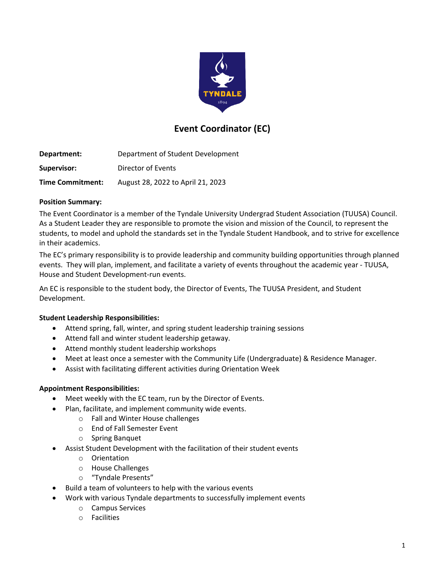

# **Event Coordinator (EC)**

**Department:** Department of Student Development **Supervisor:** Director of Events **Time Commitment:** August 28, 2022 to April 21, 2023

#### **Position Summary:**

The Event Coordinator is a member of the Tyndale University Undergrad Student Association (TUUSA) Council. As a Student Leader they are responsible to promote the vision and mission of the Council, to represent the students, to model and uphold the standards set in the Tyndale Student Handbook, and to strive for excellence in their academics.

The EC's primary responsibility is to provide leadership and community building opportunities through planned events. They will plan, implement, and facilitate a variety of events throughout the academic year - TUUSA, House and Student Development-run events.

An EC is responsible to the student body, the Director of Events, The TUUSA President, and Student Development.

## **Student Leadership Responsibilities:**

- Attend spring, fall, winter, and spring student leadership training sessions
- Attend fall and winter student leadership getaway.
- Attend monthly student leadership workshops
- Meet at least once a semester with the Community Life (Undergraduate) & Residence Manager.
- Assist with facilitating different activities during Orientation Week

#### **Appointment Responsibilities:**

- Meet weekly with the EC team, run by the Director of Events.
- Plan, facilitate, and implement community wide events.
	- o Fall and Winter House challenges
		- o End of Fall Semester Event
		- o Spring Banquet
- Assist Student Development with the facilitation of their student events
	- o Orientation
	- o House Challenges
	- o "Tyndale Presents"
- Build a team of volunteers to help with the various events
- Work with various Tyndale departments to successfully implement events
	- o Campus Services
	- o Facilities